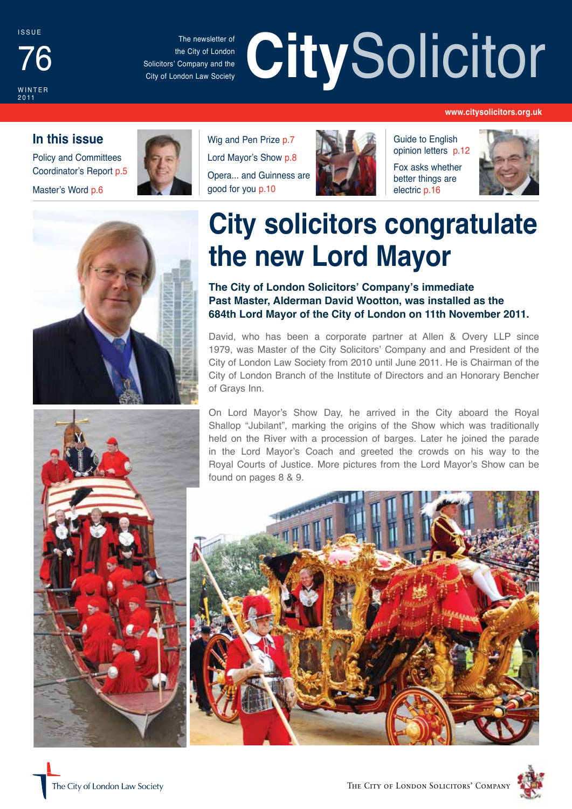W IN T E R 2011

The newsletter of the City of London Solicitors' Company and the City of London Law Society

# The newsletter of the City of London<br>City of London Law Society<br>City of London Law Society

#### **www.citysolicitors.org.uk**

**In this issue**

Policy and Committees Coordinator's Report p.5

Master's Word p.6



Wig and Pen Prize p.7 Lord Mayor's Show p.8 Opera... and Guinness are good for you p.10



Guide to English opinion letters p.12

Fox asks whether better things are electric p.16







# **City solicitors congratulate the new Lord Mayor**

**The City of London Solicitors' Company's immediate Past Master, Alderman David Wootton, was installed as the 684th Lord Mayor of the City of London on 11th November 2011.**

David, who has been a corporate partner at Allen & Overy LLP since 1979, was Master of the City Solicitors' Company and and President of the City of London Law Society from 2010 until June 2011. He is Chairman of the City of London Branch of the Institute of Directors and an Honorary Bencher of Grays Inn.

On Lord Mayor's Show Day, he arrived in the City aboard the Royal Shallop "Jubilant", marking the origins of the Show which was traditionally held on the River with a procession of barges. Later he joined the parade in the Lord Mayor's Coach and greeted the crowds on his way to the Royal Courts of Justice. More pictures from the Lord Mayor's Show can be found on pages 8 & 9.



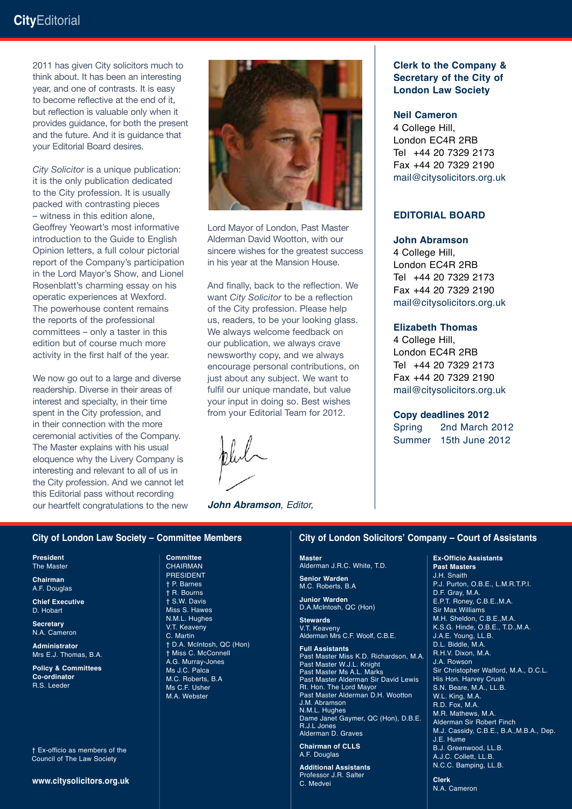### **City**Editorial

2011 has given City solicitors much to think about. It has been an interesting year, and one of contrasts. It is easy to become reflective at the end of it, but reflection is valuable only when it provides guidance, for both the present and the future. And it is guidance that your Editorial Board desires.

*City Solicitor* is a unique publication: it is the only publication dedicated to the City profession. It is usually packed with contrasting pieces – witness in this edition alone, Geoffrey Yeowart's most informative introduction to the Guide to English Opinion letters, a full colour pictorial report of the Company's participation in the Lord Mayor's Show, and Lionel Rosenblatt's charming essay on his operatic experiences at Wexford. The powerhouse content remains the reports of the professional committees – only a taster in this edition but of course much more activity in the first half of the year.

We now go out to a large and diverse readership. Diverse in their areas of interest and specialty, in their time spent in the City profession, and in their connection with the more ceremonial activities of the Company. The Master explains with his usual eloquence why the Livery Company is interesting and relevant to all of us in the City profession. And we cannot let this Editorial pass without recording our heartfelt congratulations to the new



Lord Mayor of London, Past Master Alderman David Wootton, with our sincere wishes for the greatest success in his year at the Mansion House.

And finally, back to the reflection. We want *City Solicitor* to be a reflection of the City profession. Please help us, readers, to be your looking glass. We always welcome feedback on our publication, we always crave newsworthy copy, and we always encourage personal contributions, on just about any subject. We want to fulfil our unique mandate, but value your input in doing so. Best wishes from your Editorial Team for 2012.

*John Abramson, Editor,* 

#### **Clerk to the Company & Secretary of the City of London Law Society**

#### **Neil Cameron**

4 College Hill, London EC4R 2RB Tel +44 20 7329 2173 Fax +44 20 7329 2190 mail@citysolicitors.org.uk

#### **Editorial board**

#### **John Abramson**

4 College Hill, London EC4R 2RB Tel +44 20 7329 2173 Fax +44 20 7329 2190 mail@citysolicitors.org.uk

#### **Elizabeth Thomas**

4 College Hill, London EC4R 2RB Tel +44 20 7329 2173 Fax +44 20 7329 2190 mail@citysolicitors.org.uk

#### **Copy deadlines 2012**

Spring 2nd March 2012 Summer 15th June 2012

#### **City of London Law Society – Committee Members**

**President** The Master

**Chairman** A.F. Douglas

**Chief Executive** D. Hobart

**Secretary** N.A. Cameron

**Administrator** Mrs E.J. Thomas, B.A.

**Policy & Committees Co-ordinator** R.S. Leeder

† Ex-officio as members of the Council of The Law Society

**www.citysolicitors.org.uk**

**Committee CHAIRMAN** PRESIDENT † P. Barnes † R. Bourns † S.W. Davis Miss S. Hawes N.M.L. Hughes V.T. Keaveny C. Martin † D.A. McIntosh, QC (Hon) † Miss C. McConnell A.G. Murray-Jones Ms J.C. Palca M.C. Roberts, B.A Ms C.F. Usher M.A. Webster

#### **City of London Solicitors' Company – Court of Assistants**

**Master** Alderman J.R.C. White, T.D.

**Senior Warden** M.C. Roberts, B.A

**Junior Warden** D.A.McIntosh, QC (Hon)

**Stewards** V.T. Keaveny Alderman Mrs C.F. Woolf, C.B.E.

**Full Assistants** Past Master Miss K.D. Richardson, M.A. Past Master W.J.L. Knight Past Master Ms A.L. Marks Past Master Alderman Sir David Lewis Rt. Hon. The Lord Mayor Past Master Alderman D.H. Wootton J.M. Abramson N.M.L. Hughes Dame Janet Gaymer, QC (Hon), D.B.E. R.J.L Jones Alderman D. Graves

**Chairman of CLLS** A.F. Douglas

**Additional Assistants** Professor J.R. Salter C. Medvei

#### **Ex-Officio Assistants Past Masters**

J.H. Snaith P.J. Purton, O.B.E., L.M.R.T.P.I. D.F. Gray, M.A. E.P.T. Roney, C.B.E.,M.A. Sir Max Williams M.H. Sheldon, C.B.E.,M.A. K.S.G. Hinde, O.B.E., T.D.,M.A. J.A.E. Young, LL.B. D.L. Biddle, M.A. R.H.V. Dixon, M.A. J.A. Rowson Sir Christopher Walford, M.A., D.C.L. His Hon. Harvey Crush S.N. Beare, M.A., LL.B. W.L. King, M.A. R.D. Fox, M.A. M.R. Mathews, M.A. Alderman Sir Robert Finch M.J. Cassidy, C.B.E., B.A.,M.B.A., Dep. J.E. Hume B.J. Greenwood, LL.B. A.J.C. Collett, LL.B. N.C.C. Bamping, LL.B.

**Clerk** N.A. Cameron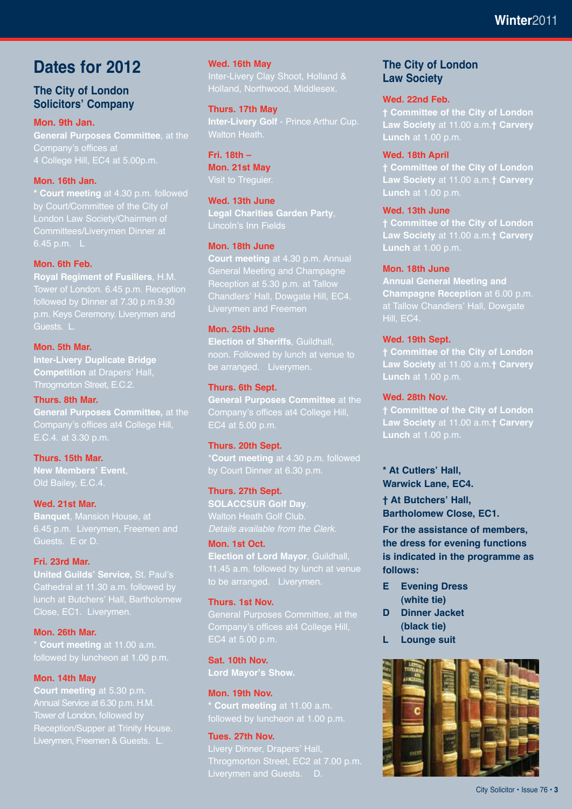### **Dates for 2012**

#### **The City of London Solicitors' Company**

**Mon. 9th Jan. General Purposes Committee**, at the Company's offices at 4 College Hill, EC4 at 5.00p.m.

#### **Mon. 16th Jan.**

**\* Court meeting** at 4.30 p.m. followed London Law Society/Chairmen of 6.45 p.m. L

#### **Mon. 6th Feb.**

**Royal Regiment of Fusiliers**, H.M. Tower of London. 6.45 p.m. Reception Guests. L.

#### **Mon. 5th Mar.**

**Inter-Livery Duplicate Bridge Competition** at Drapers' Hall,

**Thurs. 8th Mar. General Purposes Committee,** at the Company's offices at4 College Hill, E.C.4. at 3.30 p.m.

#### **Thurs. 15th Mar.**

**New Members' Event**, Old Bailey, E.C.4.

#### **Wed. 21st Mar.**

**Banquet**, Mansion House, at

#### **Fri. 23rd Mar.**

**United Guilds' Service,** St. Paul's Cathedral at 11.30 a.m. followed by Close, EC1. Liverymen.

#### **Mon. 26th Mar.**

\* **Court meeting** at 11.00 a.m.

#### **Mon. 14th May**

**Court meeting** at 5.30 p.m. Annual Service at 6.30 p.m. H.M.

#### **Wed. 16th May**

Holland, Northwood, Middlesex.

#### **Thurs. 17th May**

**Inter-Livery Golf** - Prince Arthur Cup. Walton Heath.

**Fri. 18th – Mon. 21st May** Visit to Treguier.

**Wed. 13th June Legal Charities Garden Party**,

#### **Mon. 18th June**

**Court meeting** at 4.30 p.m. Annual General Meeting and Champagne Reception at 5.30 p.m. at Tallow

#### **Mon. 25th June**

**Election of Sheriffs**, Guildhall, noon. Followed by lunch at venue to be arranged. Liverymen.

#### **Thurs. 6th Sept.**

**General Purposes Committee** at the Company's offices at4 College Hill,

#### **Thurs. 20th Sept.**

\***Court meeting** at 4.30 p.m. followed

#### **Thurs. 27th Sept.**

**SOLACCSUR Golf Day**.

#### **Mon. 1st Oct.**

**Election of Lord Mayor**, Guildhall, 11.45 a.m. followed by lunch at venue to be arranged. Liverymen.

#### **Thurs. 1st Nov.**

Company's offices at4 College Hill, EC4 at 5.00 p.m.

**Sat. 10th Nov. Lord Mayor's Show.**

#### **Mon. 19th Nov.**

**\* Court meeting** at 11.00 a.m.

#### **Tues. 27th Nov.**

Throgmorton Street, EC2 at 7.00 p.m. Liverymen and Guests. D.

#### **The City of London Law Society**

#### **Wed. 22nd Feb.**

**† Committee of the City of London Law Society** at 11.00 a.m.**† Carvery Lunch** at 1.00 p.m.

#### **Wed. 18th April**

**† Committee of the City of London Law Society** at 11.00 a.m.**† Carvery Lunch** at 1.00 p.m.

#### **Wed. 13th June**

**† Committee of the City of London Law Society** at 11.00 a.m.**† Carvery Lunch** at 1.00 p.m.

#### **Mon. 18th June**

**Annual General Meeting and Champagne Reception** at 6.00 p.m. Hill, EC4.

#### **Wed. 19th Sept.**

**† Committee of the City of London Law Society** at 11.00 a.m.**† Carvery Lunch** at 1.00 p.m.

#### **Wed. 28th Nov.**

**† Committee of the City of London Law Society** at 11.00 a.m.**† Carvery Lunch** at 1.00 p.m.

**\* At Cutlers' Hall, Warwick Lane, EC4.**

**† At Butchers' Hall, Bartholomew Close, EC1.**

**For the assistance of members, the dress for evening functions is indicated in the programme as follows:**

- **E Evening Dress (white tie)**
- **D Dinner Jacket (black tie)**
- **L Lounge suit**

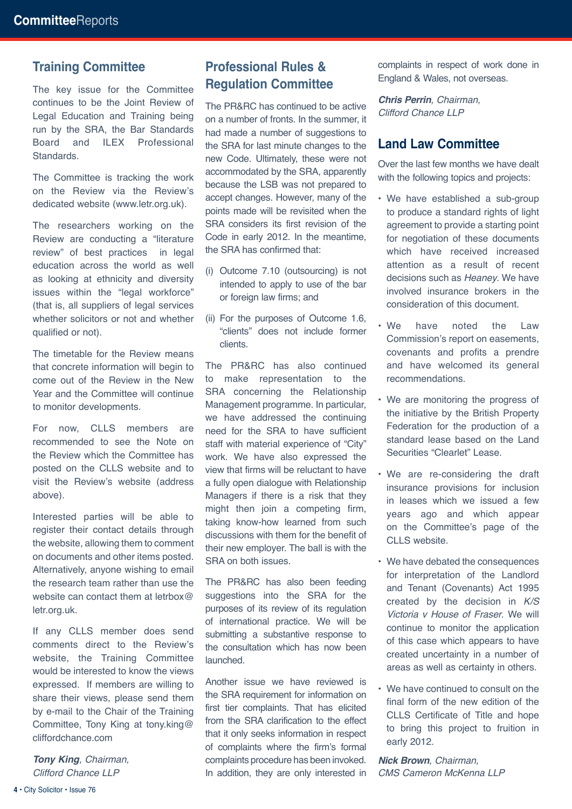#### **Training Committee**

The key issue for the Committee continues to be the Joint Review of Legal Education and Training being run by the SRA, the Bar Standards Board and ILEX Professional **Standards** 

The Committee is tracking the work on the Review via the Review's dedicated website (www.letr.org.uk).

The researchers working on the Review are conducting a "literature review" of best practices in legal education across the world as well as looking at ethnicity and diversity issues within the "legal workforce" (that is, all suppliers of legal services whether solicitors or not and whether qualified or not).

The timetable for the Review means that concrete information will begin to come out of the Review in the New Year and the Committee will continue to monitor developments.

For now, CLLS members are recommended to see the Note on the Review which the Committee has posted on the CLLS website and to visit the Review's website (address above).

Interested parties will be able to register their contact details through the website, allowing them to comment on documents and other items posted. Alternatively, anyone wishing to email the research team rather than use the website can contact them at letrbox@ letr.org.uk.

If any CLLS member does send comments direct to the Review's website, the Training Committee would be interested to know the views expressed. If members are willing to share their views, please send them by e-mail to the Chair of the Training Committee, Tony King at tony.king@ cliffordchance.com

*Tony King, Chairman, Clifford Chance LLP*

### **Professional Rules & Regulation Committee**

The PR&RC has continued to be active on a number of fronts. In the summer, it had made a number of suggestions to the SRA for last minute changes to the new Code. Ultimately, these were not accommodated by the SRA, apparently because the LSB was not prepared to accept changes. However, many of the points made will be revisited when the SRA considers its first revision of the Code in early 2012. In the meantime, the SRA has confirmed that:

- (i) Outcome 7.10 (outsourcing) is not intended to apply to use of the bar or foreign law firms; and
- (ii) For the purposes of Outcome 1.6, "clients" does not include former clients.

The PR&RC has also continued to make representation to the SRA concerning the Relationship Management programme. In particular, we have addressed the continuing need for the SRA to have sufficient staff with material experience of "City" work. We have also expressed the view that firms will be reluctant to have a fully open dialogue with Relationship Managers if there is a risk that they might then join a competing firm, taking know-how learned from such discussions with them for the benefit of their new employer. The ball is with the SRA on both issues.

The PR&RC has also been feeding suggestions into the SRA for the purposes of its review of its regulation of international practice. We will be submitting a substantive response to the consultation which has now been launched.

Another issue we have reviewed is the SRA requirement for information on first tier complaints. That has elicited from the SRA clarification to the effect that it only seeks information in respect of complaints where the firm's formal complaints procedure has been invoked. In addition, they are only interested in complaints in respect of work done in England & Wales, not overseas.

*Chris Perrin, Chairman, Clifford Chance LLP*

#### **Land Law Committee**

Over the last few months we have dealt with the following topics and projects:

- We have established a sub-group to produce a standard rights of light agreement to provide a starting point for negotiation of these documents which have received increased attention as a result of recent decisions such as *Heaney*. We have involved insurance brokers in the consideration of this document.
- We have noted the Law Commission's report on easements, covenants and profits a prendre and have welcomed its general recommendations.
- We are monitoring the progress of the initiative by the British Property Federation for the production of a standard lease based on the Land Securities "Clearlet" Lease.
- We are re-considering the draft insurance provisions for inclusion in leases which we issued a few years ago and which appear on the Committee's page of the CLLS website.
- We have debated the consequences for interpretation of the Landlord and Tenant (Covenants) Act 1995 created by the decision in *K/S Victoria v House of Fraser*. We will continue to monitor the application of this case which appears to have created uncertainty in a number of areas as well as certainty in others.
- We have continued to consult on the final form of the new edition of the CLLS Certificate of Title and hope to bring this project to fruition in early 2012.

*Nick Brown, Chairman, CMS Cameron McKenna LLP*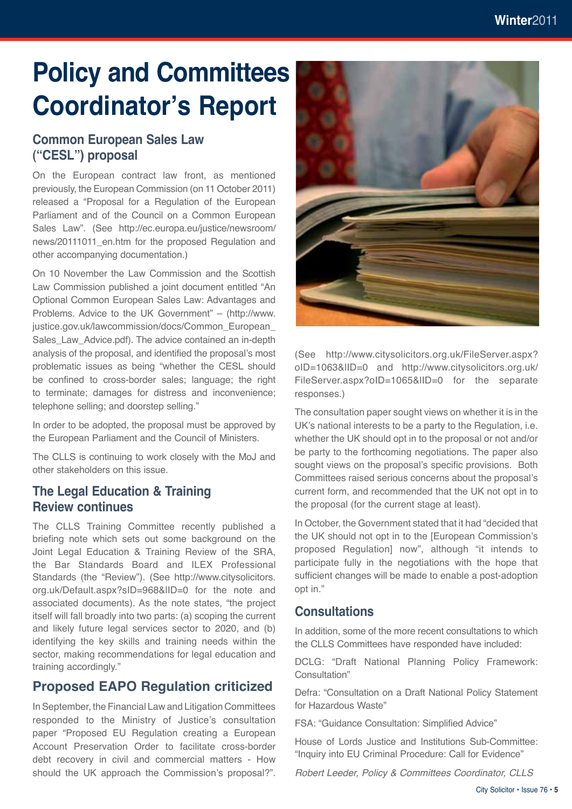# **Policy and Committees Coordinator's Report**

### **Common European Sales Law ("CESL") proposal**

On the European contract law front, as mentioned previously, the European Commission (on 11 October 2011) released a "Proposal for a Regulation of the European Parliament and of the Council on a Common European Sales Law". (See http://ec.europa.eu/justice/newsroom/ news/20111011\_en.htm for the proposed Regulation and other accompanying documentation.)

On 10 November the Law Commission and the Scottish Law Commission published a joint document entitled "An Optional Common European Sales Law: Advantages and Problems. Advice to the UK Government" – (http://www. justice.gov.uk/lawcommission/docs/Common\_European Sales Law Advice.pdf). The advice contained an in-depth analysis of the proposal, and identified the proposal's most problematic issues as being "whether the CESL should be confined to cross-border sales; language; the right to terminate; damages for distress and inconvenience; telephone selling; and doorstep selling."

In order to be adopted, the proposal must be approved by the European Parliament and the Council of Ministers.

The CLLS is continuing to work closely with the MoJ and other stakeholders on this issue.

### **The Legal Education & Training Review continues**

The CLLS Training Committee recently published a briefing note which sets out some background on the Joint Legal Education & Training Review of the SRA, the Bar Standards Board and ILEX Professional Standards (the "Review"). (See http://www.citysolicitors. org.uk/Default.aspx?sID=968&lID=0 for the note and associated documents). As the note states, "the project itself will fall broadly into two parts: (a) scoping the current and likely future legal services sector to 2020, and (b) identifying the key skills and training needs within the sector, making recommendations for legal education and training accordingly."

### **Proposed EAPO Regulation criticized**

In September, the Financial Law and Litigation Committees responded to the Ministry of Justice's consultation paper "Proposed EU Regulation creating a European Account Preservation Order to facilitate cross-border debt recovery in civil and commercial matters - How should the UK approach the Commission's proposal?".



(See http://www.citysolicitors.org.uk/FileServer.aspx? oID=1063&lID=0 and http://www.citysolicitors.org.uk/ FileServer.aspx?oID=1065&lID=0 for the separate responses.)

The consultation paper sought views on whether it is in the UK's national interests to be a party to the Regulation, i.e. whether the UK should opt in to the proposal or not and/or be party to the forthcoming negotiations. The paper also sought views on the proposal's specific provisions. Both Committees raised serious concerns about the proposal's current form, and recommended that the UK not opt in to the proposal (for the current stage at least).

In October, the Government stated that it had "decided that the UK should not opt in to the [European Commission's proposed Regulation] now", although "it intends to participate fully in the negotiations with the hope that sufficient changes will be made to enable a post-adoption opt in."

#### **Consultations**

In addition, some of the more recent consultations to which the CLLS Committees have responded have included:

DCLG: "Draft National Planning Policy Framework: Consultation"

Defra: "Consultation on a Draft National Policy Statement for Hazardous Waste"

FSA: "Guidance Consultation: Simplified Advice"

House of Lords Justice and Institutions Sub-Committee: "Inquiry into EU Criminal Procedure: Call for Evidence"

*Robert Leeder, Policy & Committees Coordinator, CLLS*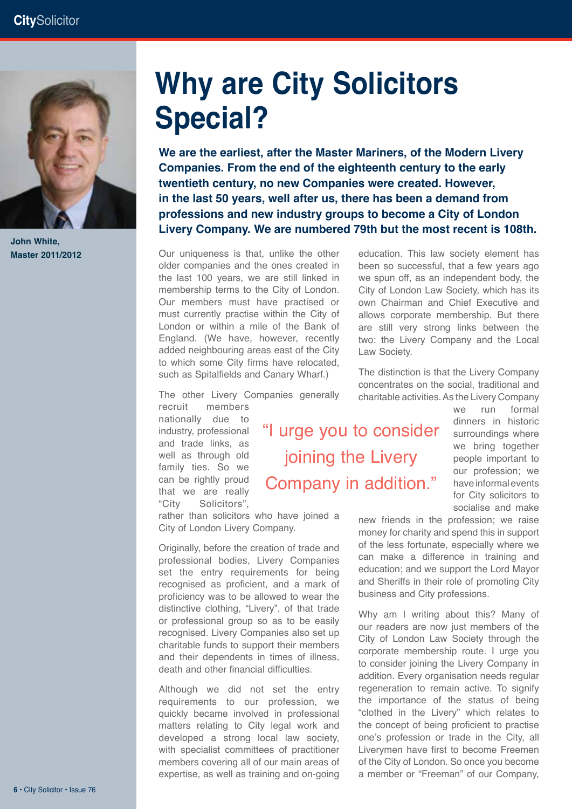

**John White, Master 2011/2012**

# **Why are City Solicitors Special?**

**We are the earliest, after the Master Mariners, of the Modern Livery Companies. From the end of the eighteenth century to the early twentieth century, no new Companies were created. However, in the last 50 years, well after us, there has been a demand from professions and new industry groups to become a City of London Livery Company. We are numbered 79th but the most recent is 108th.**

"I urge you to consider

joining the Livery

Company in addition."

Our uniqueness is that, unlike the other older companies and the ones created in the last 100 years, we are still linked in membership terms to the City of London. Our members must have practised or must currently practise within the City of London or within a mile of the Bank of England. (We have, however, recently added neighbouring areas east of the City to which some City firms have relocated, such as Spitalfields and Canary Wharf.)

The other Livery Companies generally

recruit members nationally due to industry, professional and trade links, as well as through old family ties. So we can be rightly proud that we are really "City Solicitors",

rather than solicitors who have joined a City of London Livery Company.

Originally, before the creation of trade and professional bodies, Livery Companies set the entry requirements for being recognised as proficient, and a mark of proficiency was to be allowed to wear the distinctive clothing, "Livery", of that trade or professional group so as to be easily recognised. Livery Companies also set up charitable funds to support their members and their dependents in times of illness, death and other financial difficulties.

Although we did not set the entry requirements to our profession, we quickly became involved in professional matters relating to City legal work and developed a strong local law society, with specialist committees of practitioner members covering all of our main areas of expertise, as well as training and on-going education. This law society element has been so successful, that a few years ago we spun off, as an independent body, the City of London Law Society, which has its own Chairman and Chief Executive and allows corporate membership. But there are still very strong links between the two: the Livery Company and the Local Law Society.

The distinction is that the Livery Company concentrates on the social, traditional and charitable activities. As the Livery Company

> we run formal dinners in historic surroundings where we bring together people important to our profession; we have informal events for City solicitors to socialise and make

new friends in the profession; we raise money for charity and spend this in support of the less fortunate, especially where we can make a difference in training and education; and we support the Lord Mayor and Sheriffs in their role of promoting City business and City professions.

Why am I writing about this? Many of our readers are now just members of the City of London Law Society through the corporate membership route. I urge you to consider joining the Livery Company in addition. Every organisation needs regular regeneration to remain active. To signify the importance of the status of being "clothed in the Livery" which relates to the concept of being proficient to practise one's profession or trade in the City, all Liverymen have first to become Freemen of the City of London. So once you become a member or "Freeman" of our Company,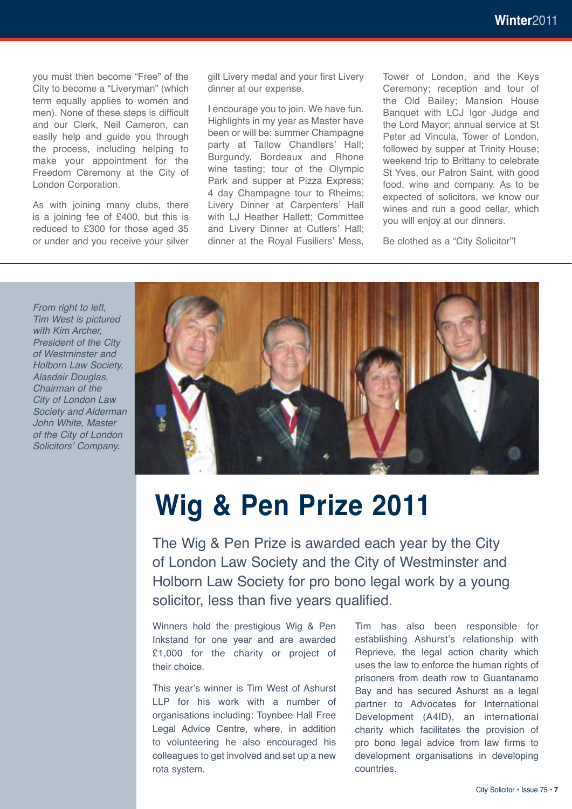you must then become "Free" of the City to become a "Liveryman" (which term equally applies to women and men). None of these steps is difficult and our Clerk, Neil Cameron, can easily help and guide you through the process, including helping to make your appointment for the Freedom Ceremony at the City of London Corporation.

As with joining many clubs, there is a joining fee of £400, but this is reduced to £300 for those aged 35 or under and you receive your silver gilt Livery medal and your first Livery dinner at our expense.

I encourage you to join. We have fun. Highlights in my year as Master have been or will be: summer Champagne party at Tallow Chandlers' Hall; Burgundy, Bordeaux and Rhone wine tasting; tour of the Olympic Park and supper at Pizza Express; 4 day Champagne tour to Rheims; Livery Dinner at Carpenters' Hall with LJ Heather Hallett; Committee and Livery Dinner at Cutlers' Hall; dinner at the Royal Fusiliers' Mess, Tower of London, and the Keys Ceremony; reception and tour of the Old Bailey; Mansion House Banquet with LCJ Igor Judge and the Lord Mayor; annual service at St Peter ad Vincula, Tower of London, followed by supper at Trinity House; weekend trip to Brittany to celebrate St Yves, our Patron Saint, with good food, wine and company. As to be expected of solicitors, we know our wines and run a good cellar, which you will enjoy at our dinners.

Be clothed as a "City Solicitor"!

*From right to left, Tim West is pictured with Kim Archer, President of the City of Westminster and Holborn Law Society, Alasdair Douglas, Chairman of the City of London Law Society and Alderman John White, Master of the City of London Solicitors' Company.*



# **Wig & Pen Prize 2011**

The Wig & Pen Prize is awarded each year by the City of London Law Society and the City of Westminster and Holborn Law Society for pro bono legal work by a young solicitor, less than five years qualified.

Winners hold the prestigious Wig & Pen Inkstand for one year and are awarded £1,000 for the charity or project of their choice.

This year's winner is Tim West of Ashurst LLP for his work with a number of organisations including: Toynbee Hall Free Legal Advice Centre, where, in addition to volunteering he also encouraged his colleagues to get involved and set up a new rota system.

Tim has also been responsible for establishing Ashurst's relationship with Reprieve, the legal action charity which uses the law to enforce the human rights of prisoners from death row to Guantanamo Bay and has secured Ashurst as a legal partner to Advocates for International Development (A4ID), an international charity which facilitates the provision of pro bono legal advice from law firms to development organisations in developing countries.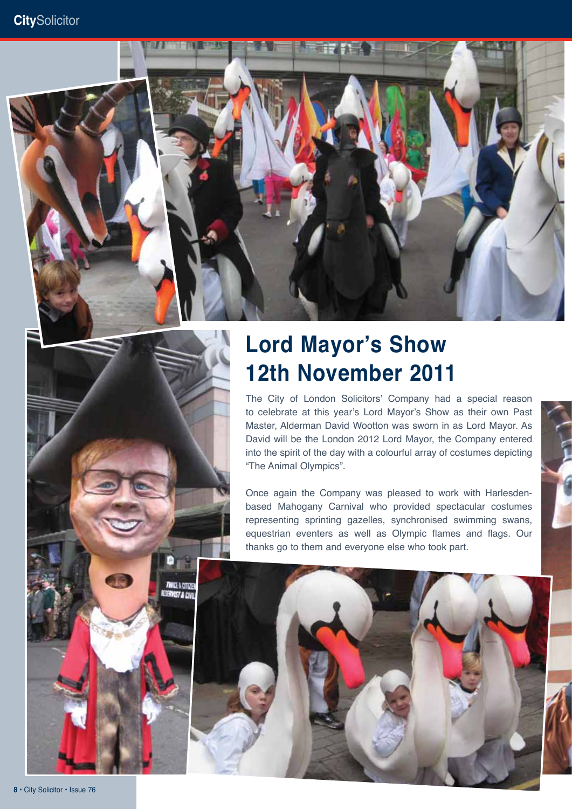

# **Lord Mayor's Show 12th November 2011**

The City of London Solicitors' Company had a special reason to celebrate at this year's Lord Mayor's Show as their own Past Master, Alderman David Wootton was sworn in as Lord Mayor. As David will be the London 2012 Lord Mayor, the Company entered into the spirit of the day with a colourful array of costumes depicting "The Animal Olympics".

Once again the Company was pleased to work with Harlesdenbased Mahogany Carnival who provided spectacular costumes representing sprinting gazelles, synchronised swimming swans, equestrian eventers as well as Olympic flames and flags. Our thanks go to them and everyone else who took part.

**TWICE A CITION RAST A CIV**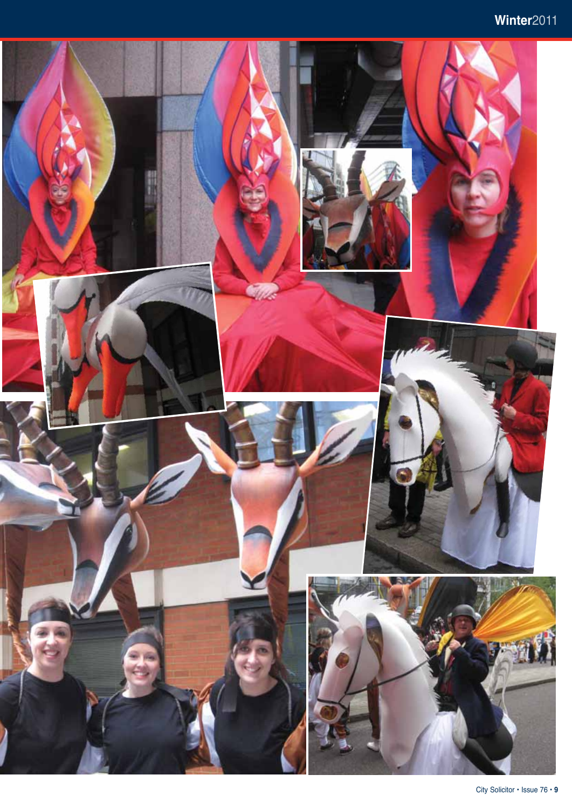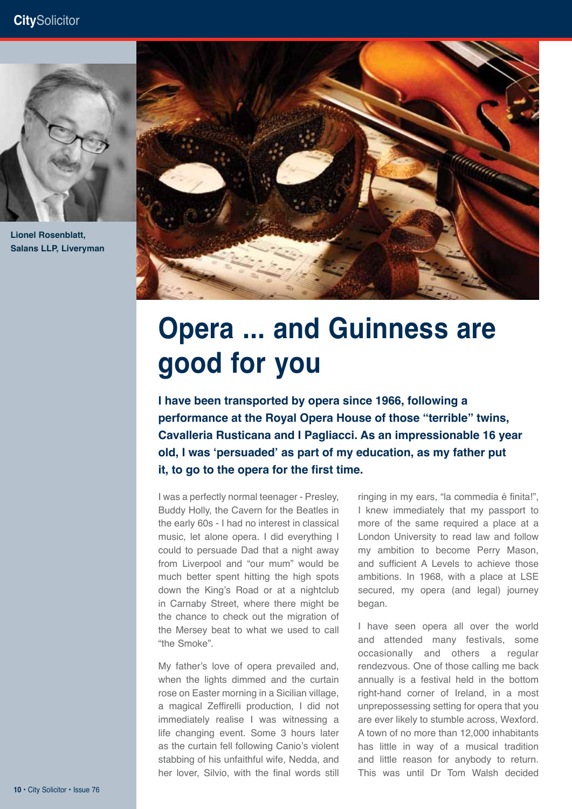

**Lionel Rosenblatt, Salans LLP, Liveryman**



# **Opera ... and Guinness are good for you**

**I have been transported by opera since 1966, following a performance at the Royal Opera House of those "terrible" twins, Cavalleria Rusticana and I Pagliacci. As an impressionable 16 year old, I was 'persuaded' as part of my education, as my father put it, to go to the opera for the first time.**

I was a perfectly normal teenager - Presley, Buddy Holly, the Cavern for the Beatles in the early 60s - I had no interest in classical music, let alone opera. I did everything I could to persuade Dad that a night away from Liverpool and "our mum" would be much better spent hitting the high spots down the King's Road or at a nightclub in Carnaby Street, where there might be the chance to check out the migration of the Mersey beat to what we used to call "the Smoke".

My father's love of opera prevailed and, when the lights dimmed and the curtain rose on Easter morning in a Sicilian village, a magical Zeffirelli production, I did not immediately realise I was witnessing a life changing event. Some 3 hours later as the curtain fell following Canio's violent stabbing of his unfaithful wife, Nedda, and her lover, Silvio, with the final words still

ringing in my ears, "la commedia é finita!", I knew immediately that my passport to more of the same required a place at a London University to read law and follow my ambition to become Perry Mason, and sufficient A Levels to achieve those ambitions. In 1968, with a place at LSE secured, my opera (and legal) journey began.

I have seen opera all over the world and attended many festivals, some occasionally and others a regular rendezvous. One of those calling me back annually is a festival held in the bottom right-hand corner of Ireland, in a most unprepossessing setting for opera that you are ever likely to stumble across, Wexford. A town of no more than 12,000 inhabitants has little in way of a musical tradition and little reason for anybody to return. This was until Dr Tom Walsh decided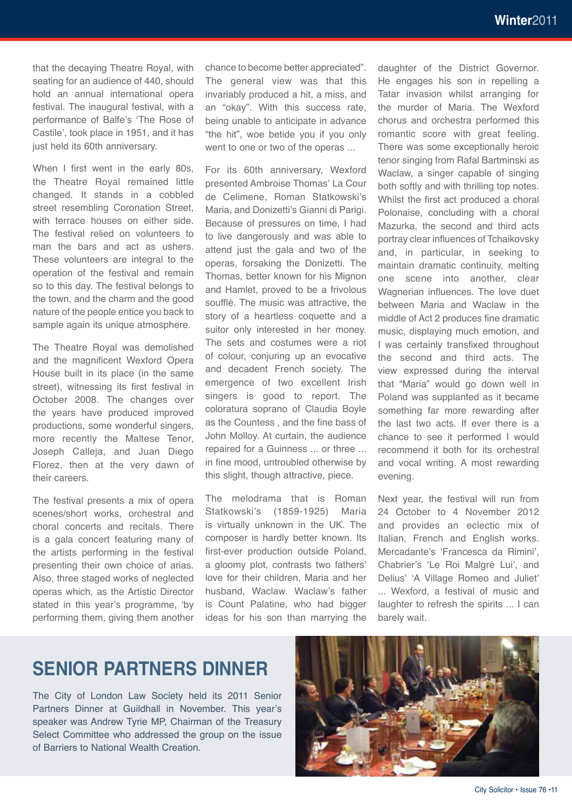that the decaying Theatre Royal, with seating for an audience of 440, should hold an annual international opera festival. The inaugural festival, with a performance of Balfe's 'The Rose of Castile', took place in 1951, and it has just held its 60th anniversary.

When I first went in the early 80s, the Theatre Royal remained little changed. It stands in a cobbled street resembling Coronation Street. with terrace houses on either side. The festival relied on volunteers to man the bars and act as ushers. These volunteers are integral to the operation of the festival and remain so to this day. The festival belongs to the town, and the charm and the good nature of the people entice you back to sample again its unique atmosphere.

The Theatre Royal was demolished and the magnificent Wexford Opera House built in its place (in the same street), witnessing its first festival in October 2008. The changes over the years have produced improved productions, some wonderful singers, more recently the Maltese Tenor, Joseph Calleja, and Juan Diego Florez, then at the very dawn of their careers.

The festival presents a mix of opera scenes/short works, orchestral and choral concerts and recitals. There is a gala concert featuring many of the artists performing in the festival presenting their own choice of arias. Also, three staged works of neglected operas which, as the Artistic Director stated in this year's programme, 'by performing them, giving them another chance to become better appreciated". The general view was that this invariably produced a hit, a miss, and an "okay". With this success rate, being unable to anticipate in advance "the hit", woe betide you if you only went to one or two of the operas ...

For its 60th anniversary, Wexford presented Ambroise Thomas' La Cour de Celimene, Roman Statkowski's Maria, and Donizetti's Gianni di Parigi. Because of pressures on time, I had to live dangerously and was able to attend just the gala and two of the operas, forsaking the Donizetti. The Thomas, better known for his Mignon and Hamlet, proved to be a frivolous soufflé. The music was attractive, the story of a heartless coquette and a suitor only interested in her money. The sets and costumes were a riot of colour, conjuring up an evocative and decadent French society. The emergence of two excellent Irish singers is good to report. The coloratura soprano of Claudia Boyle as the Countess , and the fine bass of John Molloy. At curtain, the audience repaired for a Guinness ... or three ... in fine mood, untroubled otherwise by this slight, though attractive, piece.

The melodrama that is Roman Statkowski's (1859-1925) Maria is virtually unknown in the UK. The composer is hardly better known. Its first-ever production outside Poland, a gloomy plot, contrasts two fathers' love for their children, Maria and her husband, Waclaw. Waclaw's father is Count Palatine, who had bigger ideas for his son than marrying the

daughter of the District Governor. He engages his son in repelling a Tatar invasion whilst arranging for the murder of Maria. The Wexford chorus and orchestra performed this romantic score with great feeling. There was some exceptionally heroic tenor singing from Rafal Bartminski as Waclaw, a singer capable of singing both softly and with thrilling top notes. Whilst the first act produced a choral Polonaise, concluding with a choral Mazurka, the second and third acts portray clear influences of Tchaikovsky and, in particular, in seeking to maintain dramatic continuity, melting one scene into another, clear Wagnerian influences. The love duet between Maria and Waclaw in the middle of Act 2 produces fine dramatic music, displaying much emotion, and I was certainly transfixed throughout the second and third acts. The view expressed during the interval that "Maria" would go down well in Poland was supplanted as it became something far more rewarding after the last two acts. If ever there is a chance to see it performed I would recommend it both for its orchestral and vocal writing. A most rewarding evening.

Next year, the festival will run from 24 October to 4 November 2012 and provides an eclectic mix of Italian, French and English works. Mercadante's 'Francesca da Rimini', Chabrier's 'Le Roi Malgré Lui', and Delius' 'A Village Romeo and Juliet' ... Wexford, a festival of music and laughter to refresh the spirits ... I can barely wait.

### **SENIOR PARTNERS DINNER**

The City of London Law Society held its 2011 Senior Partners Dinner at Guildhall in November. This year's speaker was Andrew Tyrie MP, Chairman of the Treasury Select Committee who addressed the group on the issue of Barriers to National Wealth Creation.

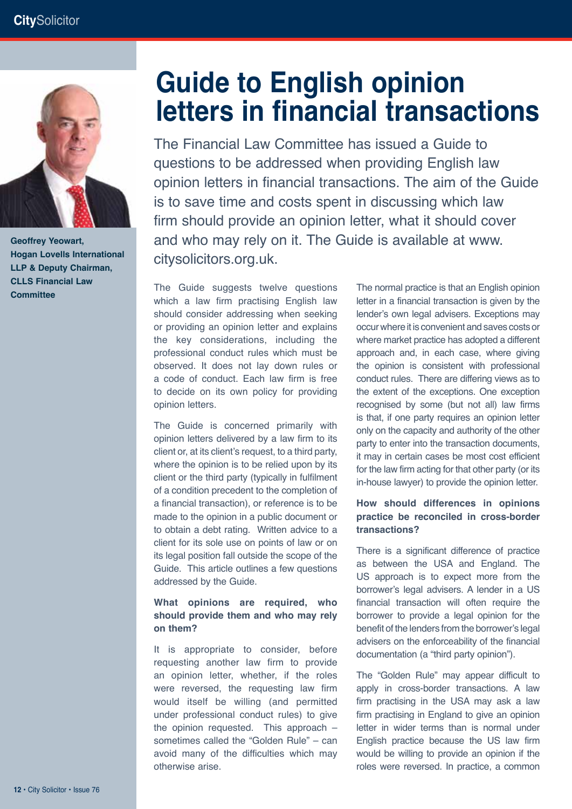

**Geoffrey Yeowart, Hogan Lovells International LLP & Deputy Chairman, CLLS Financial Law Committee**

# **Guide to English opinion letters in financial transactions**

The Financial Law Committee has issued a Guide to questions to be addressed when providing English law opinion letters in financial transactions. The aim of the Guide is to save time and costs spent in discussing which law firm should provide an opinion letter, what it should cover and who may rely on it. The Guide is available at www. citysolicitors.org.uk.

The Guide suggests twelve questions which a law firm practising English law should consider addressing when seeking or providing an opinion letter and explains the key considerations, including the professional conduct rules which must be observed. It does not lay down rules or a code of conduct. Each law firm is free to decide on its own policy for providing opinion letters.

The Guide is concerned primarily with opinion letters delivered by a law firm to its client or, at its client's request, to a third party, where the opinion is to be relied upon by its client or the third party (typically in fulfilment of a condition precedent to the completion of a financial transaction), or reference is to be made to the opinion in a public document or to obtain a debt rating. Written advice to a client for its sole use on points of law or on its legal position fall outside the scope of the Guide. This article outlines a few questions addressed by the Guide.

#### **What opinions are required, who should provide them and who may rely on them?**

It is appropriate to consider, before requesting another law firm to provide an opinion letter, whether, if the roles were reversed, the requesting law firm would itself be willing (and permitted under professional conduct rules) to give the opinion requested. This approach – sometimes called the "Golden Rule" – can avoid many of the difficulties which may otherwise arise.

The normal practice is that an English opinion letter in a financial transaction is given by the lender's own legal advisers. Exceptions may occur where it is convenient and saves costs or where market practice has adopted a different approach and, in each case, where giving the opinion is consistent with professional conduct rules. There are differing views as to the extent of the exceptions. One exception recognised by some (but not all) law firms is that, if one party requires an opinion letter only on the capacity and authority of the other party to enter into the transaction documents, it may in certain cases be most cost efficient for the law firm acting for that other party (or its in-house lawyer) to provide the opinion letter.

#### **How should differences in opinions practice be reconciled in cross-border transactions?**

There is a significant difference of practice as between the USA and England. The US approach is to expect more from the borrower's legal advisers. A lender in a US financial transaction will often require the borrower to provide a legal opinion for the benefit of the lenders from the borrower's legal advisers on the enforceability of the financial documentation (a "third party opinion").

The "Golden Rule" may appear difficult to apply in cross-border transactions. A law firm practising in the USA may ask a law firm practising in England to give an opinion letter in wider terms than is normal under English practice because the US law firm would be willing to provide an opinion if the roles were reversed. In practice, a common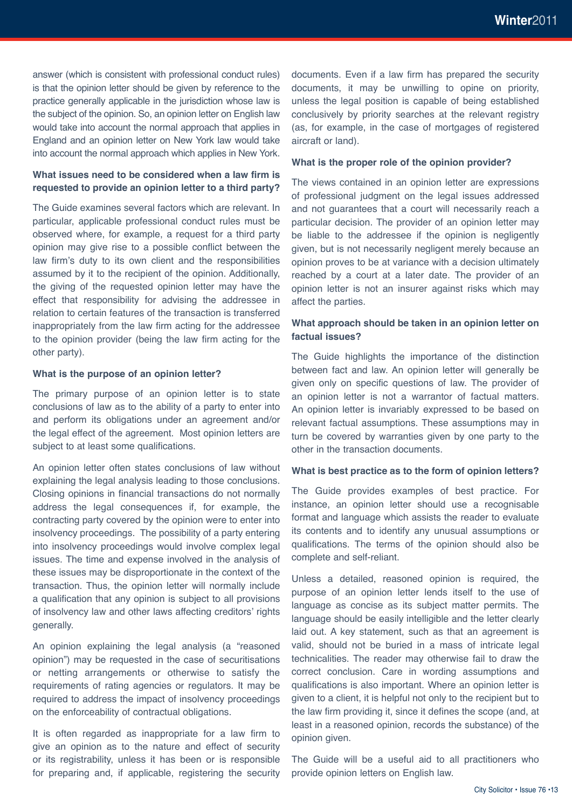answer (which is consistent with professional conduct rules) is that the opinion letter should be given by reference to the practice generally applicable in the jurisdiction whose law is the subject of the opinion. So, an opinion letter on English law would take into account the normal approach that applies in England and an opinion letter on New York law would take into account the normal approach which applies in New York.

#### **What issues need to be considered when a law firm is requested to provide an opinion letter to a third party?**

The Guide examines several factors which are relevant. In particular, applicable professional conduct rules must be observed where, for example, a request for a third party opinion may give rise to a possible conflict between the law firm's duty to its own client and the responsibilities assumed by it to the recipient of the opinion. Additionally, the giving of the requested opinion letter may have the effect that responsibility for advising the addressee in relation to certain features of the transaction is transferred inappropriately from the law firm acting for the addressee to the opinion provider (being the law firm acting for the other party).

#### **What is the purpose of an opinion letter?**

The primary purpose of an opinion letter is to state conclusions of law as to the ability of a party to enter into and perform its obligations under an agreement and/or the legal effect of the agreement. Most opinion letters are subject to at least some qualifications.

An opinion letter often states conclusions of law without explaining the legal analysis leading to those conclusions. Closing opinions in financial transactions do not normally address the legal consequences if, for example, the contracting party covered by the opinion were to enter into insolvency proceedings. The possibility of a party entering into insolvency proceedings would involve complex legal issues. The time and expense involved in the analysis of these issues may be disproportionate in the context of the transaction. Thus, the opinion letter will normally include a qualification that any opinion is subject to all provisions of insolvency law and other laws affecting creditors' rights generally.

An opinion explaining the legal analysis (a "reasoned opinion") may be requested in the case of securitisations or netting arrangements or otherwise to satisfy the requirements of rating agencies or regulators. It may be required to address the impact of insolvency proceedings on the enforceability of contractual obligations.

It is often regarded as inappropriate for a law firm to give an opinion as to the nature and effect of security or its registrability, unless it has been or is responsible for preparing and, if applicable, registering the security documents. Even if a law firm has prepared the security documents, it may be unwilling to opine on priority, unless the legal position is capable of being established conclusively by priority searches at the relevant registry (as, for example, in the case of mortgages of registered aircraft or land).

#### **What is the proper role of the opinion provider?**

The views contained in an opinion letter are expressions of professional judgment on the legal issues addressed and not guarantees that a court will necessarily reach a particular decision. The provider of an opinion letter may be liable to the addressee if the opinion is negligently given, but is not necessarily negligent merely because an opinion proves to be at variance with a decision ultimately reached by a court at a later date. The provider of an opinion letter is not an insurer against risks which may affect the parties.

#### **What approach should be taken in an opinion letter on factual issues?**

The Guide highlights the importance of the distinction between fact and law. An opinion letter will generally be given only on specific questions of law. The provider of an opinion letter is not a warrantor of factual matters. An opinion letter is invariably expressed to be based on relevant factual assumptions. These assumptions may in turn be covered by warranties given by one party to the other in the transaction documents.

#### **What is best practice as to the form of opinion letters?**

The Guide provides examples of best practice. For instance, an opinion letter should use a recognisable format and language which assists the reader to evaluate its contents and to identify any unusual assumptions or qualifications. The terms of the opinion should also be complete and self-reliant.

Unless a detailed, reasoned opinion is required, the purpose of an opinion letter lends itself to the use of language as concise as its subject matter permits. The language should be easily intelligible and the letter clearly laid out. A key statement, such as that an agreement is valid, should not be buried in a mass of intricate legal technicalities. The reader may otherwise fail to draw the correct conclusion. Care in wording assumptions and qualifications is also important. Where an opinion letter is given to a client, it is helpful not only to the recipient but to the law firm providing it, since it defines the scope (and, at least in a reasoned opinion, records the substance) of the opinion given.

The Guide will be a useful aid to all practitioners who provide opinion letters on English law.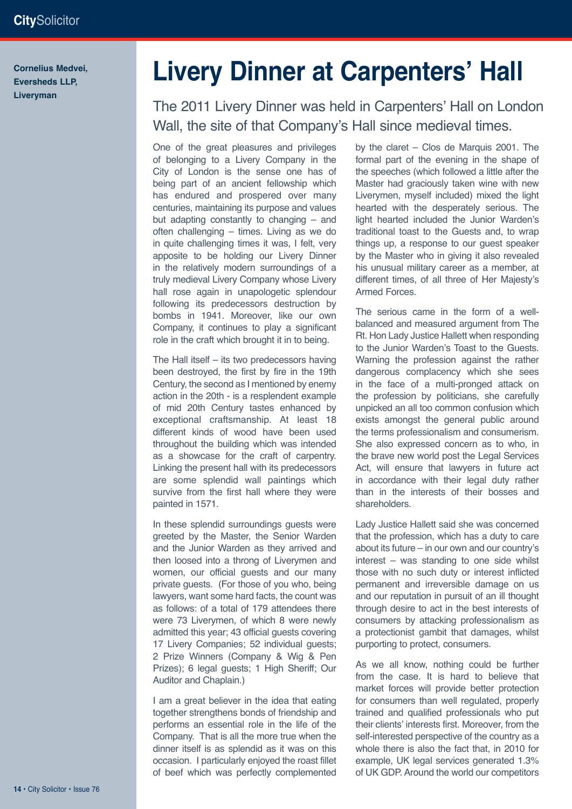**Eversheds LLP, Liveryman**

# **Livery Dinner at Carpenters' Hall Hall Cornelius Medvei,**

The 2011 Livery Dinner was held in Carpenters' Hall on London Wall, the site of that Company's Hall since medieval times.

One of the great pleasures and privileges of belonging to a Livery Company in the City of London is the sense one has of being part of an ancient fellowship which has endured and prospered over many centuries, maintaining its purpose and values but adapting constantly to changing – and often challenging – times. Living as we do in quite challenging times it was, I felt, very apposite to be holding our Livery Dinner in the relatively modern surroundings of a truly medieval Livery Company whose Livery hall rose again in unapologetic splendour following its predecessors destruction by bombs in 1941. Moreover, like our own Company, it continues to play a significant role in the craft which brought it in to being.

The Hall itself – its two predecessors having been destroyed, the first by fire in the 19th Century, the second as I mentioned by enemy action in the 20th - is a resplendent example of mid 20th Century tastes enhanced by exceptional craftsmanship. At least 18 different kinds of wood have been used throughout the building which was intended as a showcase for the craft of carpentry. Linking the present hall with its predecessors are some splendid wall paintings which survive from the first hall where they were painted in 1571.

In these splendid surroundings guests were greeted by the Master, the Senior Warden and the Junior Warden as they arrived and then loosed into a throng of Liverymen and women, our official guests and our many private guests. (For those of you who, being lawyers, want some hard facts, the count was as follows: of a total of 179 attendees there were 73 Liverymen, of which 8 were newly admitted this year; 43 official guests covering 17 Livery Companies; 52 individual guests; 2 Prize Winners (Company & Wig & Pen Prizes); 6 legal quests; 1 High Sheriff; Our Auditor and Chaplain.)

I am a great believer in the idea that eating together strengthens bonds of friendship and performs an essential role in the life of the Company. That is all the more true when the dinner itself is as splendid as it was on this occasion. I particularly enjoyed the roast fillet of beef which was perfectly complemented by the claret – Clos de Marquis 2001. The formal part of the evening in the shape of the speeches (which followed a little after the Master had graciously taken wine with new Liverymen, myself included) mixed the light hearted with the desperately serious. The light hearted included the Junior Warden's traditional toast to the Guests and, to wrap things up, a response to our guest speaker by the Master who in giving it also revealed his unusual military career as a member, at different times, of all three of Her Majesty's Armed Forces.

The serious came in the form of a wellbalanced and measured argument from The Rt. Hon Lady Justice Hallett when responding to the Junior Warden's Toast to the Guests. Warning the profession against the rather dangerous complacency which she sees in the face of a multi-pronged attack on the profession by politicians, she carefully unpicked an all too common confusion which exists amongst the general public around the terms professionalism and consumerism. She also expressed concern as to who, in the brave new world post the Legal Services Act, will ensure that lawyers in future act in accordance with their legal duty rather than in the interests of their bosses and shareholders.

Lady Justice Hallett said she was concerned that the profession, which has a duty to care about its future – in our own and our country's interest – was standing to one side whilst those with no such duty or interest inflicted permanent and irreversible damage on us and our reputation in pursuit of an ill thought through desire to act in the best interests of consumers by attacking professionalism as a protectionist gambit that damages, whilst purporting to protect, consumers.

As we all know, nothing could be further from the case. It is hard to believe that market forces will provide better protection for consumers than well regulated, properly trained and qualified professionals who put their clients' interests first. Moreover, from the self-interested perspective of the country as a whole there is also the fact that, in 2010 for example, UK legal services generated 1.3% of UK GDP. Around the world our competitors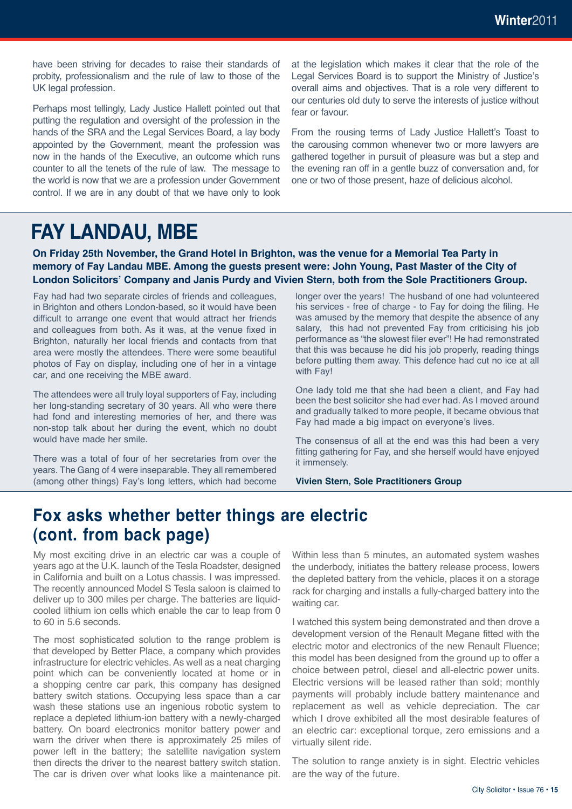have been striving for decades to raise their standards of probity, professionalism and the rule of law to those of the UK legal profession.

> Perhaps most tellingly, Lady Justice Hallett pointed out that putting the regulation and oversight of the profession in the hands of the SRA and the Legal Services Board, a lay body appointed by the Government, meant the profession was now in the hands of the Executive, an outcome which runs counter to all the tenets of the rule of law. The message to the world is now that we are a profession under Government control. If we are in any doubt of that we have only to look

at the legislation which makes it clear that the role of the Legal Services Board is to support the Ministry of Justice's overall aims and objectives. That is a role very different to our centuries old duty to serve the interests of justice without fear or favour.

From the rousing terms of Lady Justice Hallett's Toast to the carousing common whenever two or more lawyers are gathered together in pursuit of pleasure was but a step and the evening ran off in a gentle buzz of conversation and, for one or two of those present, haze of delicious alcohol.

### **FAY LANDAU, MBE**

**On Friday 25th November, the Grand Hotel in Brighton, was the venue for a Memorial Tea Party in memory of Fay Landau MBE. Among the guests present were: John Young, Past Master of the City of London Solicitors' Company and Janis Purdy and Vivien Stern, both from the Sole Practitioners Group.**

Fay had had two separate circles of friends and colleagues, in Brighton and others London-based, so it would have been difficult to arrange one event that would attract her friends and colleagues from both. As it was, at the venue fixed in Brighton, naturally her local friends and contacts from that area were mostly the attendees. There were some beautiful photos of Fay on display, including one of her in a vintage car, and one receiving the MBE award.

The attendees were all truly loyal supporters of Fay, including her long-standing secretary of 30 years. All who were there had fond and interesting memories of her, and there was non-stop talk about her during the event, which no doubt would have made her smile.

There was a total of four of her secretaries from over the years. The Gang of 4 were inseparable. They all remembered (among other things) Fay's long letters, which had become longer over the years! The husband of one had volunteered his services - free of charge - to Fay for doing the filing. He was amused by the memory that despite the absence of any salary, this had not prevented Fay from criticising his job performance as "the slowest filer ever"! He had remonstrated that this was because he did his job properly, reading things before putting them away. This defence had cut no ice at all with Fay!

One lady told me that she had been a client, and Fay had been the best solicitor she had ever had. As I moved around and gradually talked to more people, it became obvious that Fay had made a big impact on everyone's lives.

The consensus of all at the end was this had been a very fitting gathering for Fay, and she herself would have enjoyed it immensely.

**Vivien Stern, Sole Practitioners Group**

### **Fox asks whether better things are electric (cont. from back page)**

My most exciting drive in an electric car was a couple of years ago at the U.K. launch of the Tesla Roadster, designed in California and built on a Lotus chassis. I was impressed. The recently announced Model S Tesla saloon is claimed to deliver up to 300 miles per charge. The batteries are liquidcooled lithium ion cells which enable the car to leap from 0 to 60 in 5.6 seconds.

The most sophisticated solution to the range problem is that developed by Better Place, a company which provides infrastructure for electric vehicles. As well as a neat charging point which can be conveniently located at home or in a shopping centre car park, this company has designed battery switch stations. Occupying less space than a car wash these stations use an ingenious robotic system to replace a depleted lithium-ion battery with a newly-charged battery. On board electronics monitor battery power and warn the driver when there is approximately 25 miles of power left in the battery; the satellite navigation system then directs the driver to the nearest battery switch station. The car is driven over what looks like a maintenance pit.

Within less than 5 minutes, an automated system washes the underbody, initiates the battery release process, lowers the depleted battery from the vehicle, places it on a storage rack for charging and installs a fully-charged battery into the waiting car.

I watched this system being demonstrated and then drove a development version of the Renault Megane fitted with the electric motor and electronics of the new Renault Fluence; this model has been designed from the ground up to offer a choice between petrol, diesel and all-electric power units. Electric versions will be leased rather than sold; monthly payments will probably include battery maintenance and replacement as well as vehicle depreciation. The car which I drove exhibited all the most desirable features of an electric car: exceptional torque, zero emissions and a virtually silent ride.

The solution to range anxiety is in sight. Electric vehicles are the way of the future.